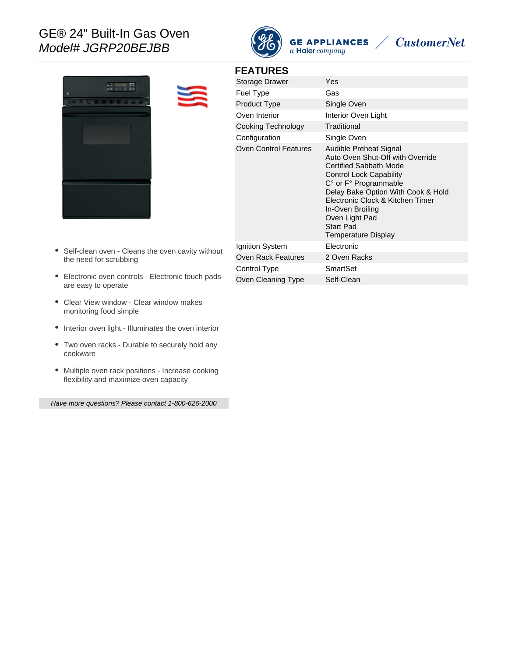# GE® 24" Built-In Gas Oven Model# JGRP20BEJBB



**GE APPLIANCES** 





#### **FEATURES**

| Storage Drawer               | Yes                                                                                                                                                                                                                                                                                                               |
|------------------------------|-------------------------------------------------------------------------------------------------------------------------------------------------------------------------------------------------------------------------------------------------------------------------------------------------------------------|
| <b>Fuel Type</b>             | Gas                                                                                                                                                                                                                                                                                                               |
| <b>Product Type</b>          | Single Oven                                                                                                                                                                                                                                                                                                       |
| Oven Interior                | Interior Oven Light                                                                                                                                                                                                                                                                                               |
| Cooking Technology           | Traditional                                                                                                                                                                                                                                                                                                       |
| Configuration                | Single Oven                                                                                                                                                                                                                                                                                                       |
| <b>Oven Control Features</b> | Audible Preheat Signal<br>Auto Oven Shut-Off with Override<br>Certified Sabbath Mode<br><b>Control Lock Capability</b><br>C° or F° Programmable<br>Delay Bake Option With Cook & Hold<br>Electronic Clock & Kitchen Timer<br>In-Oven Broiling<br>Oven Light Pad<br><b>Start Pad</b><br><b>Temperature Display</b> |
| Ignition System              | Electronic                                                                                                                                                                                                                                                                                                        |
| Oven Rack Features           | 2 Oven Racks                                                                                                                                                                                                                                                                                                      |
| Control Type                 | SmartSet                                                                                                                                                                                                                                                                                                          |
| Oven Cleaning Type           | Self-Clean                                                                                                                                                                                                                                                                                                        |

- $\bullet$ Self-clean oven - Cleans the oven cavity without the need for scrubbing
- Electronic oven controls Electronic touch pads are easy to operate
- Clear View window Clear window makes monitoring food simple
- Interior oven light Illuminates the oven interior
- Two oven racks Durable to securely hold any cookware
- Multiple oven rack positions Increase cooking flexibility and maximize oven capacity

Have more questions? Please contact 1-800-626-2000